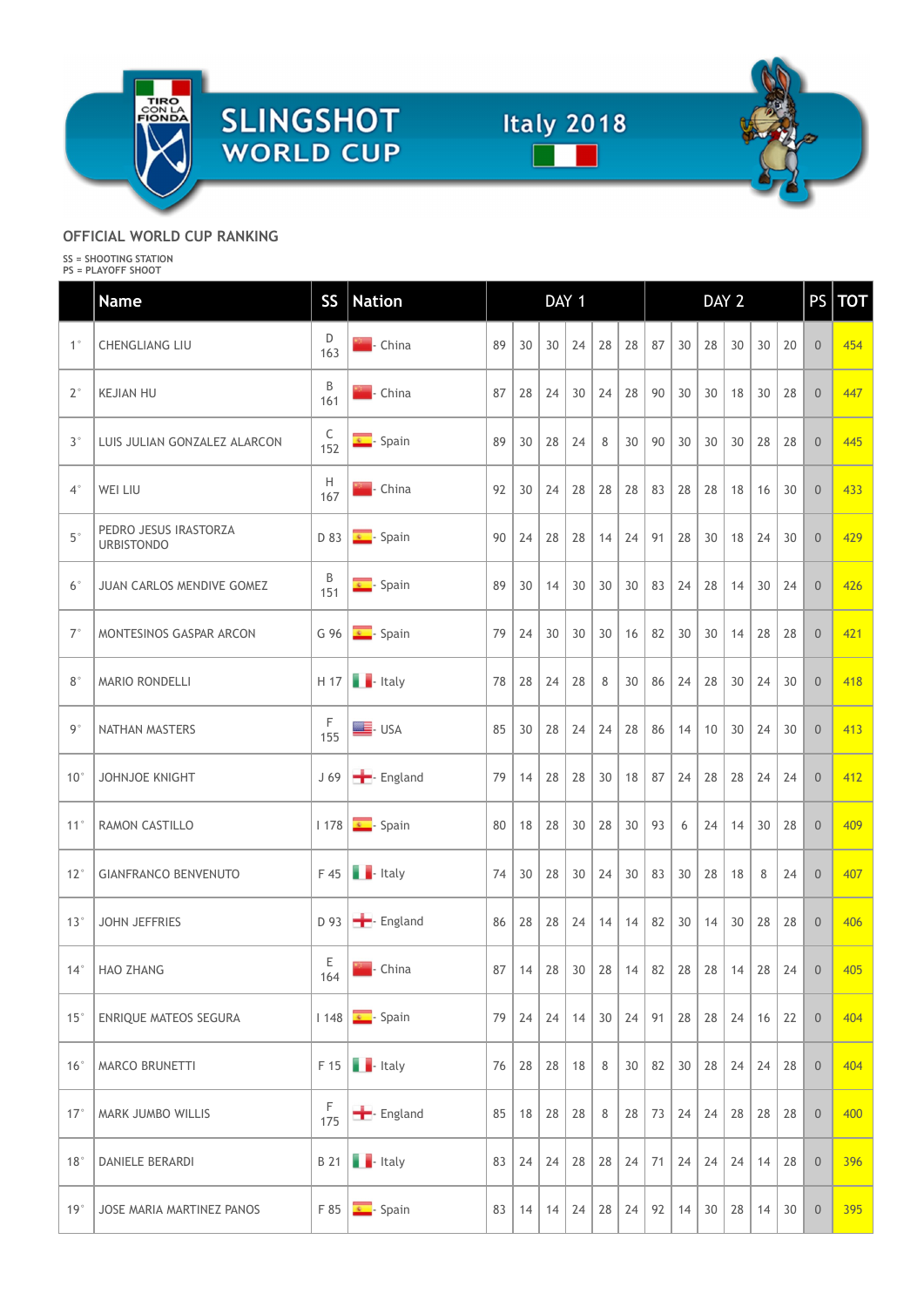





|                | TIRO<br>CON LA<br>FIONDA<br><b>SLINGSHOT</b><br><b>WORLD CUP</b>          |                    |                                       |              | <b>Italy 2018</b>                                             |                  |         |    |    |        |       |                                                      |                                   |                |          |
|----------------|---------------------------------------------------------------------------|--------------------|---------------------------------------|--------------|---------------------------------------------------------------|------------------|---------|----|----|--------|-------|------------------------------------------------------|-----------------------------------|----------------|----------|
|                | OFFICIAL WORLD CUP RANKING<br>SS = SHOOTING STATION<br>PS = PLAYOFF SHOOT |                    |                                       |              |                                                               |                  |         |    |    |        |       |                                                      |                                   |                |          |
|                | <b>Name</b>                                                               | SS                 | <b>Nation</b>                         |              |                                                               | DAY 1            |         |    |    |        | DAY 2 |                                                      |                                   |                | PS   TOT |
| 1 <sup>°</sup> | <b>CHENGLIANG LIU</b>                                                     | D<br>163           | <b>China</b>                          | 89           | 30                                                            | 24<br>30         | 28      | 28 | 87 | 30     | 28    | 30                                                   | $30 \mid 20$                      | $\overline{0}$ | 454      |
| $2^{\circ}$    | <b>KEJIAN HU</b>                                                          | B<br>161           | <b>Allac</b> - China                  | 87           | 28                                                            | 24<br>30         | 24      | 28 | 90 | $30\,$ | 30    | 18                                                   | $30 \mid 28$                      | $\overline{0}$ | 447      |
| $3^{\circ}$    | LUIS JULIAN GONZALEZ ALARCON                                              | $\mathsf C$<br>152 | Spain                                 | 89           | 30 <sup>°</sup>                                               | 24<br>28         | $\,8\,$ | 30 | 90 | 30     | 30    | 30 <sup>°</sup>                                      | 28 28                             | $\overline{0}$ | 445      |
| $4^{\circ}$    | WEI LIU                                                                   | Н<br>167           | <b>Exercise 2</b> China               | 92           | 30                                                            | 24<br>28         | 28      | 28 | 83 | 28     | 28    | 18                                                   | $16 \overline{\smash{\big)}\ 30}$ | $\overline{0}$ | 433      |
| $5^{\circ}$    | PEDRO JESUS IRASTORZA<br><b>URBISTONDO</b>                                | D 83               | $\sqrt{2}$ - Spain                    | $90 \mid 24$ |                                                               | $28$ 28 14 24 91 |         |    |    | 28     | 30    | $18$   24   30                                       |                                   | $\overline{0}$ | 429      |
| $6^{\circ}$    | JUAN CARLOS MENDIVE GOMEZ                                                 | B<br>151           | Spain                                 |              | 89 30 14 30 30 30 83 24 28                                    |                  |         |    |    |        |       | 14                                                   | $30 \mid 24$                      | $\overline{0}$ | 426      |
| $7^{\circ}$    | MONTESINOS GASPAR ARCON                                                   |                    | G 96 $\overline{\phantom{a}}$ - Spain |              | 79   24   30   30   30   16   82   30   30   14   28   28     |                  |         |    |    |        |       |                                                      |                                   | 0              | 421      |
| $8^{\circ}$    | MARIO RONDELLI                                                            |                    | $H$ 17 $\blacksquare$ - Italy         |              | 78 28 24 28 8                                                 |                  |         |    |    |        |       | $30 \mid 86 \mid 24 \mid 28 \mid 30 \mid 24 \mid 30$ |                                   | $\overline{0}$ | 418      |
| $9^{\circ}$    | NATHAN MASTERS                                                            | $\frac{F}{155}$    | $\equiv$ - USA                        |              | 85 30 28 24 24 28 86 14 10 30 24 30                           |                  |         |    |    |        |       |                                                      |                                   | $\overline{0}$ | 413      |
| $10^{\circ}$   | JOHNJOE KNIGHT                                                            |                    | J 69 - England                        |              | 79   14   28   28   30   18   87   24   28   28   24   24     |                  |         |    |    |        |       |                                                      |                                   | $\overline{0}$ | 412      |
|                | 11°   RAMON CASTILLO                                                      |                    | 1 178 - Spain                         |              | 80   18   28   30   28   30   93   6   24   14   30   28      |                  |         |    |    |        |       |                                                      |                                   | 0              | 409      |
|                | 12° GIANFRANCO BENVENUTO                                                  |                    | $F 45$ $\blacksquare$ - Italy         |              | 74 30 28 30 24 30 83 30 28 18                                 |                  |         |    |    |        |       |                                                      | $8 \mid 24$                       | $\overline{0}$ | 407      |
| 13°            | JOHN JEFFRIES                                                             |                    | D 93 - England                        |              | 86   28   28   24   14   14   82   30   14   30   28   28     |                  |         |    |    |        |       |                                                      |                                   | $\overline{0}$ | 406      |
|                | 14° HAO ZHANG                                                             | $E$<br>164         | <b>No.</b> China                      | 87           | $14$   28   30   28   14   82   28   28                       |                  |         |    |    |        |       | $14$ 28 24                                           |                                   | 0              | 405      |
|                | 15° ENRIQUE MATEOS SEGURA                                                 |                    | 1 148 <u>.</u> Spain                  |              | 79   24   24   14   30   24   91   28   28   24   16   22     |                  |         |    |    |        |       |                                                      |                                   | $\overline{0}$ | 404      |
|                | 16°   MARCO BRUNETTI                                                      |                    | $F 15$ $\blacksquare$ - Italy         |              | 76 28 28 18 8                                                 |                  |         |    |    |        |       | $30 \mid 82 \mid 30 \mid 28 \mid 24 \mid 24 \mid 28$ |                                   | $\overline{0}$ | 404      |
|                | 17°   MARK JUMBO WILLIS                                                   | 175                | - England                             |              | 85   18   28   28   8   28   73   24   24   28   28   28      |                  |         |    |    |        |       |                                                      |                                   | $\overline{0}$ | 400      |
|                | 18°   DANIELE BERARDI                                                     |                    | <b>B</b> 21 <b>.</b> Italy            |              | 83   24   24   28   28   24   71   24   24   24   14   28   0 |                  |         |    |    |        |       |                                                      |                                   |                | 396      |
| 19°            | JOSE MARIA MARTINEZ PANOS                                                 |                    | $F 85$ $\bullet$ - Spain              |              | $83$   14   14   24   28   24   92   14   30   28   14   30   |                  |         |    |    |        |       |                                                      |                                   | $\overline{0}$ | 395      |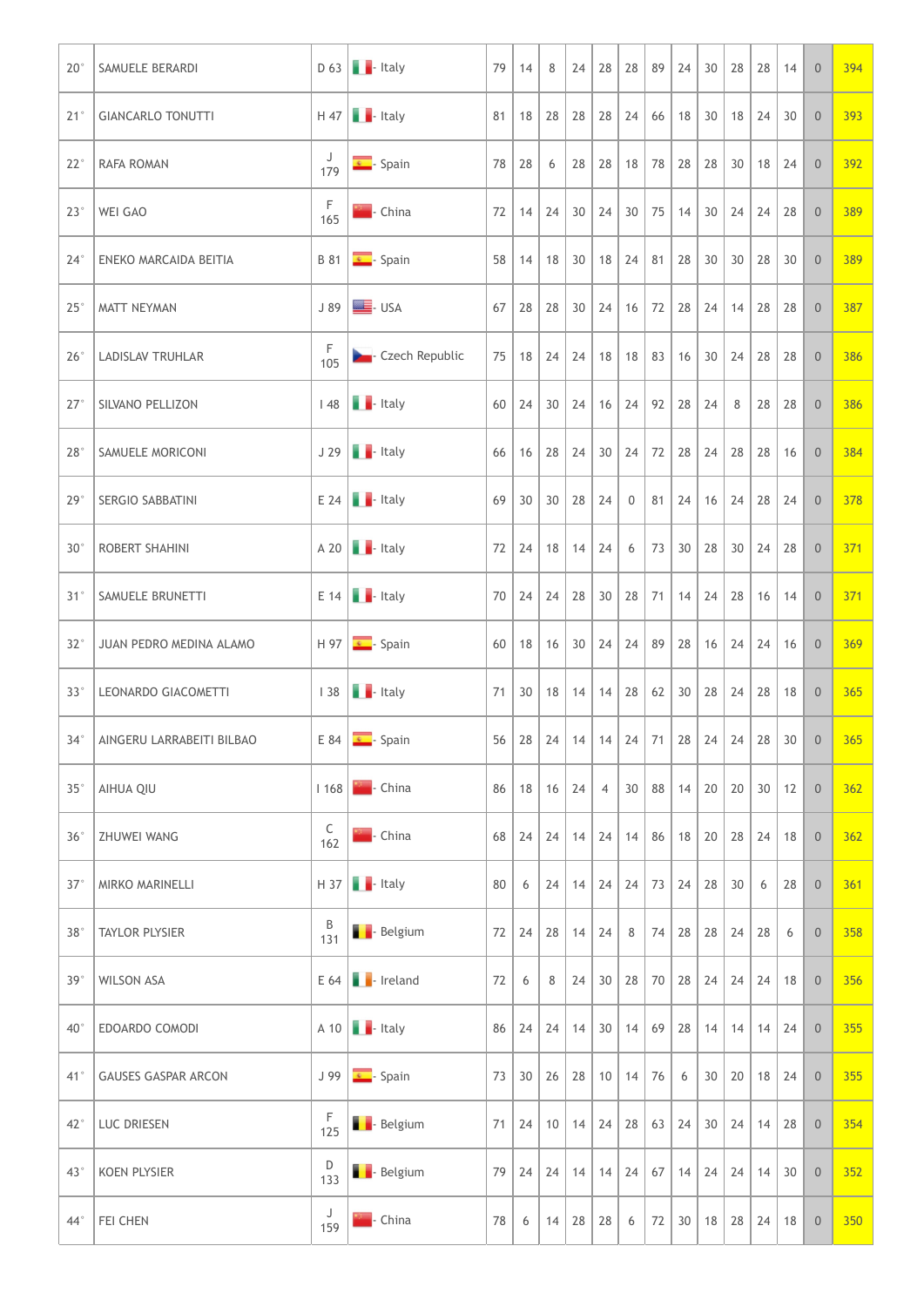| $20^{\circ}$ | SAMUELE BERARDI                 |               |                                                                                                      | 79 | 14 | 8 | 24                       | 28                       | 28                                                                                      | 89   24 | 30 <sup>°</sup> | 28 | 28 14 | $\overline{0}$                               | 394 |
|--------------|---------------------------------|---------------|------------------------------------------------------------------------------------------------------|----|----|---|--------------------------|--------------------------|-----------------------------------------------------------------------------------------|---------|-----------------|----|-------|----------------------------------------------|-----|
| 21°          | GIANCARLO TONUTTI               |               | $H$ 47 $H$ - Italy                                                                                   | 81 |    |   |                          |                          | 18   28   28   28   24   66   18   30   18   24   30                                    |         |                 |    |       | 0                                            | 393 |
| $22^{\circ}$ | RAFA ROMAN                      | J<br>179      | $\sqrt{\frac{1}{2}}$ - Spain                                                                         | 78 | 28 | 6 |                          |                          | 28 28 18 78 28 28 30                                                                    |         |                 |    | 18 24 | $\overline{0}$                               | 392 |
| $23^\circ$   | <b>WEI GAO</b>                  | F<br>165      | <b>China</b>                                                                                         | 72 |    |   |                          |                          | $14$   24   30   24   30   75   14   30   24   24   28                                  |         |                 |    |       | $\overline{0}$                               | 389 |
| $24^{\circ}$ | <b>ENEKO MARCAIDA BEITIA</b>    |               | $\begin{array}{ c c c c c }\n\hline\n\text{B} & \text{81} & \text{S} \\ \hline\n\end{array}$ - Spain | 58 |    |   |                          |                          | $14$   18   30   18   24   81   28   30   30   28   30                                  |         |                 |    |       | $\overline{0}$                               | 389 |
| $25^\circ$   | MATT NEYMAN                     |               | $J 89$ $\bullet$ USA                                                                                 |    |    |   |                          |                          | 67   28   28   30   24   16   72   28   24   14   28   28                               |         |                 |    |       | $\overline{0}$                               | 387 |
|              | 26°   LADISLAV TRUHLAR          | F<br>105      | <b>Designation</b> - Czech Republic                                                                  |    |    |   |                          |                          | 75   18   24   24   18   18   83   16   30   24   28   28   0                           |         |                 |    |       |                                              | 386 |
|              | 27° SILVANO PELLIZON            |               | $148$ $\blacksquare$ - Italy                                                                         |    |    |   |                          |                          | 60   24   30   24   16   24   92   28   24   8   28   28                                |         |                 |    |       | $\begin{array}{c} 0 \end{array}$             | 386 |
|              | 28° SAMUELE MORICONI            |               | $J 29$ - Italy                                                                                       |    |    |   |                          |                          | 66   16   28   24   30   24   72   28   24   28   28   16                               |         |                 |    |       | $\overline{0}$                               | 384 |
| 29°          | SERGIO SABBATINI                |               | $E 24$ $\blacksquare$ - Italy                                                                        |    |    |   | $69$ 30 30 28 24         |                          | $0$ 81 24 16 24 28 24                                                                   |         |                 |    |       | $\overline{0}$                               | 378 |
| $30^{\circ}$ | ROBERT SHAHINI                  |               | $A 20$ $\blacksquare$ - Italy                                                                        |    |    |   | $72$   24   18   14   24 |                          | $6$   73   30   28   30   24   28                                                       |         |                 |    |       | $\begin{array}{c c} 0 \end{array}$           | 371 |
|              | 31°   SAMUELE BRUNETTI          |               | $E 14$ $\bullet$ Italy                                                                               |    |    |   |                          |                          | 70   24   24   28   30   28   71   14   24   28   16   14                               |         |                 |    |       | $\begin{array}{c c} 0 \\ \hline \end{array}$ | 371 |
| $32^{\circ}$ | JUAN PEDRO MEDINA ALAMO         |               | $H$ 97 $\overline{\bullet}$ - Spain                                                                  |    |    |   |                          |                          | 60   18   16   30   24   24   89   28   16   24   24   16                               |         |                 |    |       | 0                                            | 369 |
|              | 33°   LEONARDO GIACOMETTI       |               | $138$ $\blacksquare$ - Italy                                                                         |    |    |   |                          |                          | 71 30 18 14 14 28 62 30 28 24 28 18                                                     |         |                 |    |       | $\vert 0 \vert$                              | 365 |
|              | 34°   AINGERU LARRABEITI BILBAO |               | $E 84$ $\bullet$ Spain                                                                               |    |    |   |                          |                          | $56   28   24   14   14   24   71   28   24   24   28   30   0$                         |         |                 |    |       |                                              | 365 |
|              | 35° AIHUA QIU                   |               | 1 168 - China                                                                                        |    |    |   | $86$   18   16   24   4  |                          | 30   88   14   20   20   30   12                                                        |         |                 |    |       | $\begin{array}{c} 0 \end{array}$             | 362 |
| 36°          | <b>ZHUWEI WANG</b>              | $C$<br>162    | <b>No.</b> China                                                                                     |    |    |   |                          |                          | 68   24   24   14   24   14   86   18   20   28   24   18                               |         |                 |    |       | $\overline{0}$                               | 362 |
| $37^\circ$   | MIRKO MARINELLI                 |               | $H$ 37 $H$ - Italy                                                                                   | 80 |    |   |                          |                          | 6   24   14   24   24   73   24   28   30   6   28                                      |         |                 |    |       | $\begin{array}{c c} 0 \\ \hline \end{array}$ | 361 |
| 38°          | TAYLOR PLYSIER                  | $rac{B}{131}$ | <b>B</b> - Belgium                                                                                   |    |    |   |                          | $72$   24   28   14   24 | $8$   74   28   28   24   28   6                                                        |         |                 |    |       | $\overline{0}$                               | 358 |
|              | 39°   WILSON ASA                |               | $E 64$ $\bullet$ Ireland                                                                             | 72 |    |   |                          |                          | $6 \mid 8 \mid 24 \mid 30 \mid 28 \mid 70 \mid 28 \mid 24 \mid 24 \mid 24 \mid 18 \mid$ |         |                 |    |       | $\begin{array}{c} 0 \end{array}$             | 356 |
| $40^{\circ}$ | <b>EDOARDO COMODI</b>           |               | $A$ 10 $\blacksquare$ Italy                                                                          |    |    |   |                          |                          | 86   24   24   14   30   14   69   28   14   14   14   24                               |         |                 |    |       |                                              | 355 |
|              | 41° GAUSES GASPAR ARCON         |               | $J$ 99 $\sqrt{s}$ - Spain                                                                            |    |    |   |                          |                          | 73 30 26 28 10 14 76 6 30 20 18 24 0                                                    |         |                 |    |       |                                              | 355 |
|              | 42°   LUC DRIESEN               | F<br>125      | <b>B</b> - Belgium                                                                                   |    |    |   |                          |                          | 71   24   10   14   24   28   63   24   30   24   14   28                               |         |                 |    |       | $\overline{0}$                               | 354 |
|              | 43° KOEN PLYSIER                | D<br>133      | <b>B</b> - Belgium                                                                                   |    |    |   |                          |                          | 79   24   24   14   14   24   67   14   24   24   14   30                               |         |                 |    |       | $\begin{array}{c} 0 \end{array}$             | 352 |
|              | 44° FEI CHEN                    | J<br>159      | $\blacksquare$ - China                                                                               | 78 |    |   |                          | 6   14   28   28         | 6   72   30   18   28   24   18   0                                                     |         |                 |    |       |                                              | 350 |
|              |                                 |               |                                                                                                      |    |    |   |                          |                          |                                                                                         |         |                 |    |       |                                              |     |
|              |                                 |               |                                                                                                      |    |    |   |                          |                          |                                                                                         |         |                 |    |       |                                              |     |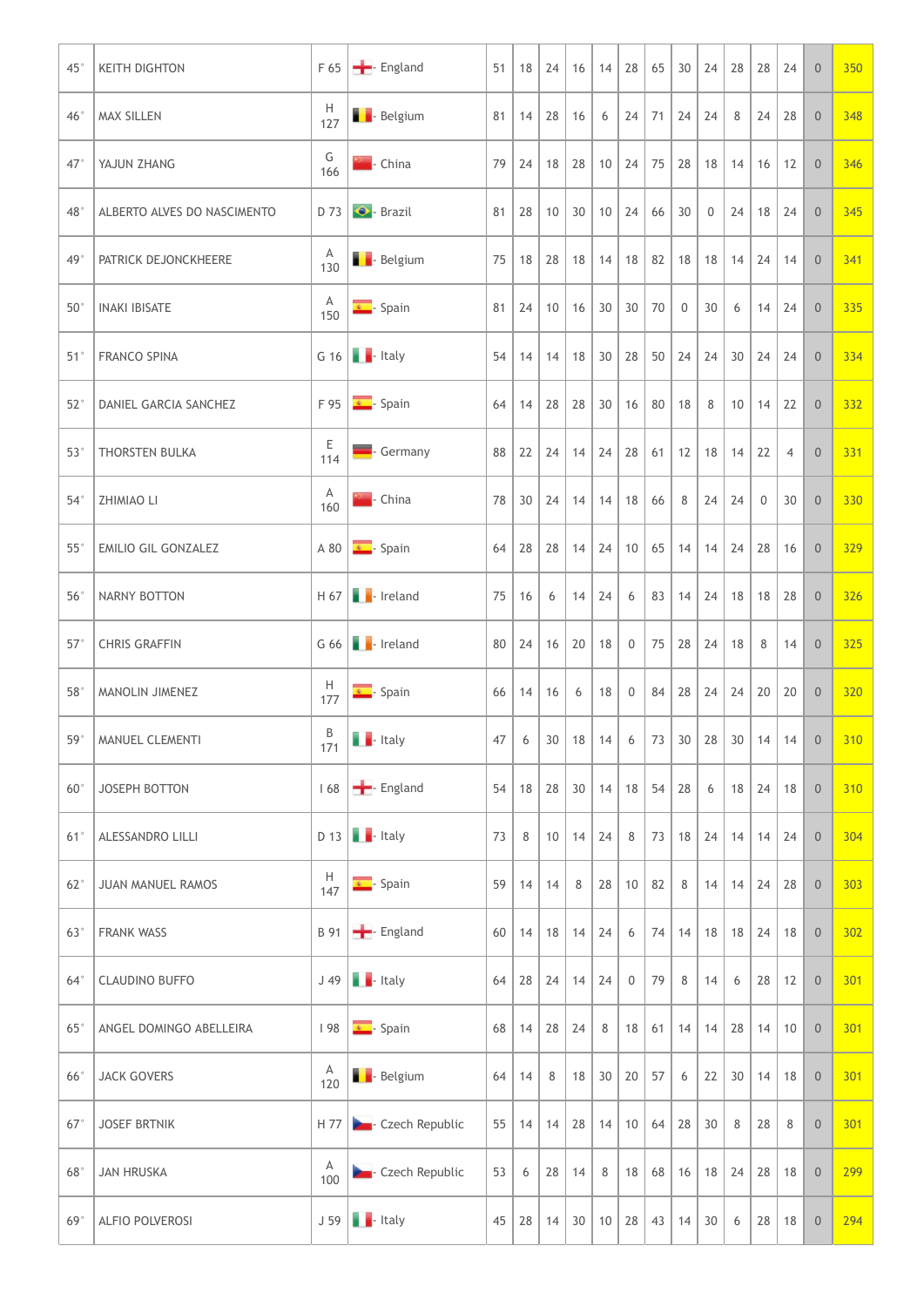| $45^{\circ}$ | <b>KEITH DIGHTON</b>        |                       | F 65 <b>-</b> England                                              | 51 |    | 18 24   | 16                       | 14                                       | 28<br>65                                                                         | 30                | 24             | 28 |                                  | 28 24         | $\overline{0}$                                |                                                                   | 350 |
|--------------|-----------------------------|-----------------------|--------------------------------------------------------------------|----|----|---------|--------------------------|------------------------------------------|----------------------------------------------------------------------------------|-------------------|----------------|----|----------------------------------|---------------|-----------------------------------------------|-------------------------------------------------------------------|-----|
| 46°          | <b>MAX SILLEN</b>           | H<br>127              | <b>B</b> - Belgium                                                 | 81 |    | $14$ 28 | 16                       | 6                                        | $24$ 71 24 24                                                                    |                   |                | 8  |                                  | $24$ 28       | 0                                             |                                                                   | 348 |
| $47^\circ$   | YAJUN ZHANG                 | G<br>166              | <b>Alleger</b> - China                                             | 79 | 24 |         |                          |                                          | 18   28   10   24   75   28   18   14                                            |                   |                |    |                                  | $16 \quad 12$ | $\overline{0}$                                |                                                                   | 346 |
| 48°          | ALBERTO ALVES DO NASCIMENTO |                       | D 73 <b>C</b> - Brazil                                             | 81 | 28 |         | 10   30   10             |                                          | 24                                                                               | $66 \mid 30 \mid$ | $\overline{0}$ | 24 |                                  | 18 24         | $\overline{0}$                                |                                                                   | 345 |
| 49           | PATRICK DEJONCKHEERE        | $\overline{A}$<br>130 | <b>Belgium</b>                                                     | 75 |    | 18 28   |                          |                                          | $18$   $14$   $18$   $82$   $18$                                                 |                   |                |    | $18$   14   24   14              |               | $\overline{0}$                                |                                                                   | 341 |
| $50^{\circ}$ | <b>INAKI IBISATE</b>        | Α<br>150              | $\sqrt{\frac{1}{n}}$ - Spain                                       |    |    |         |                          |                                          | $81 \mid 24 \mid 10 \mid 16 \mid 30 \mid 30 \mid 70 \mid 0$                      |                   | 30             | 6  |                                  | $14 \mid 24$  | $\overline{0}$                                |                                                                   | 335 |
|              | 51°   FRANCO SPINA          |                       | G 16 $\blacksquare$ - Italy                                        | 54 |    |         |                          |                                          | $14$   $14$   $18$   $30$   $28$   $50$   $24$   $24$   $30$   $24$   $24$   $0$ |                   |                |    |                                  |               |                                               |                                                                   | 334 |
|              | 52°   DANIEL GARCIA SANCHEZ |                       | $F$ 95 $\sqrt{s}$ - Spain                                          |    |    |         |                          |                                          | $64$   14   28   28   30   16   80   18   8   10   14   22                       |                   |                |    |                                  |               |                                               | $\begin{array}{ c c c c c } \hline 0 & 332 \\ \hline \end{array}$ |     |
|              | 53°   THORSTEN BULKA        | E<br>114              | Germany                                                            |    |    |         |                          |                                          | 88 22 24 14 24 28 61 12 18 14 22 4                                               |                   |                |    |                                  |               | $\begin{array}{c} \circ \\ \circ \end{array}$ |                                                                   | 331 |
|              | 54°   ZHIMIAO LI            | A<br>160              | <b>Kom</b> - China                                                 |    |    |         |                          |                                          | 78 30 24 14 14 18 66 8 24 24 0 30                                                |                   |                |    |                                  |               | $\overline{0}$                                |                                                                   | 330 |
| $55^{\circ}$ | <b>EMILIO GIL GONZALEZ</b>  |                       | A 80 $\overline{\bullet}$ - Spain                                  |    |    |         |                          |                                          | 64   28   28   14   24   10   65   14   14   24   28   16   0                    |                   |                |    |                                  |               |                                               |                                                                   | 329 |
| $56^{\circ}$ | NARNY BOTTON                |                       | $H 67$ $H$ - Ireland                                               |    |    |         |                          |                                          | 75 16 6 14 24 6 83 14 24 18 18 28 0                                              |                   |                |    |                                  |               |                                               |                                                                   | 326 |
| $57^{\circ}$ | <b>CHRIS GRAFFIN</b>        |                       | G 66 - Ireland                                                     |    |    |         |                          |                                          | 80   24   16   20   18   0   75   28   24   18   8   14   0   325                |                   |                |    |                                  |               |                                               |                                                                   |     |
|              | 58°   MANOLIN JIMENEZ       | $\frac{H}{177}$       | $\blacksquare$ - Spain                                             |    |    |         |                          |                                          | 66   14   16   6   18   0   84   28   24   24   20   20                          |                   |                |    |                                  |               | $\begin{array}{c c} 0 \\ \hline \end{array}$  |                                                                   | 320 |
|              | 59°   MANUEL CLEMENTI       | $rac{B}{171}$         | $\blacksquare$ - Italy                                             |    |    |         |                          |                                          | $47$ 6 30 18 14 6 73 30 28 30 14 14 0 310                                        |                   |                |    |                                  |               |                                               |                                                                   |     |
| $60^{\circ}$ | JOSEPH BOTTON               |                       | 168 - England                                                      |    |    |         |                          |                                          | $54   18   28   30   14   18   54   28   6   18   24   18   0$ 310               |                   |                |    |                                  |               |                                               |                                                                   |     |
|              | 61°   ALESSANDRO LILLI      |                       | $D$ 13 $\blacksquare$ Italy                                        |    |    |         |                          | $73 \mid 8 \mid 10 \mid 14 \mid 24 \mid$ | $8$   73   18   24   14   14   24                                                |                   |                |    |                                  |               | $\begin{array}{c} 0 \end{array}$              |                                                                   | 304 |
| $62^{\circ}$ | JUAN MANUEL RAMOS           | $\frac{H}{147}$       | $\begin{array}{ c c } \hline \textbf{L} & \text{Span} \end{array}$ |    |    |         |                          |                                          | $59$   14   14   8   28   10   82   8   14   14   24   28   0                    |                   |                |    |                                  |               |                                               |                                                                   | 303 |
|              | 63°   FRANK WASS            |                       | B 91 - England                                                     |    |    |         |                          |                                          | 60   14   18   14   24   6   74   14   18   18   24   18   0                     |                   |                |    |                                  |               |                                               |                                                                   | 302 |
|              | 64°   CLAUDINO BUFFO        |                       | $J$ 49 $\blacksquare$ - Italy                                      |    |    |         |                          |                                          | 64   28   24   14   24   0   79   8                                              |                   |                |    | $14 \mid 6 \mid 28 \mid 12 \mid$ |               | $\begin{array}{c c} 0 \\ \hline \end{array}$  |                                                                   | 301 |
| $65^\circ$   | ANGEL DOMINGO ABELLEIRA     |                       | $198$ $\overline{\phantom{1}}$ - Spain                             |    |    |         |                          |                                          | 68   14   28   24   8   18   61   14   14   28   14   10   0   301               |                   |                |    |                                  |               |                                               |                                                                   |     |
| $66^{\circ}$ | JACK GOVERS                 | A<br>120              | <b>B</b> - Belgium                                                 | 64 | 14 | 8       |                          |                                          | $18$ 30 20 57 6 22 30 14 18                                                      |                   |                |    |                                  |               | $\overline{0}$                                |                                                                   | 301 |
| $67^\circ$   | <b>JOSEF BRTNIK</b>         |                       | H 77 <b>Czech Republic</b>                                         |    |    |         | $55$   14   14   28   14 |                                          | $10 \mid 64 \mid 28 \mid 30 \mid$                                                |                   |                | 8  | 28                               | 8             | $\overline{0}$                                |                                                                   | 301 |
| $68^\circ$   | JAN HRUSKA                  | A<br>100              | <b>D</b> - Czech Republic                                          | 53 | 6  | 28      | 14                       | 8                                        | $18$ 68 16 18 24 28 18                                                           |                   |                |    |                                  |               | $\overline{0}$                                |                                                                   | 299 |
| 69°          | ALFIO POLVEROSI             |                       | $J 59$ - Italy                                                     |    |    |         |                          |                                          | 45   28   14   30   10   28   43   14   30                                       |                   |                | 6  |                                  | $28$ 18       | $\overline{0}$                                |                                                                   | 294 |
|              |                             |                       |                                                                    |    |    |         |                          |                                          |                                                                                  |                   |                |    |                                  |               |                                               |                                                                   |     |
|              |                             |                       |                                                                    |    |    |         |                          |                                          |                                                                                  |                   |                |    |                                  |               |                                               |                                                                   |     |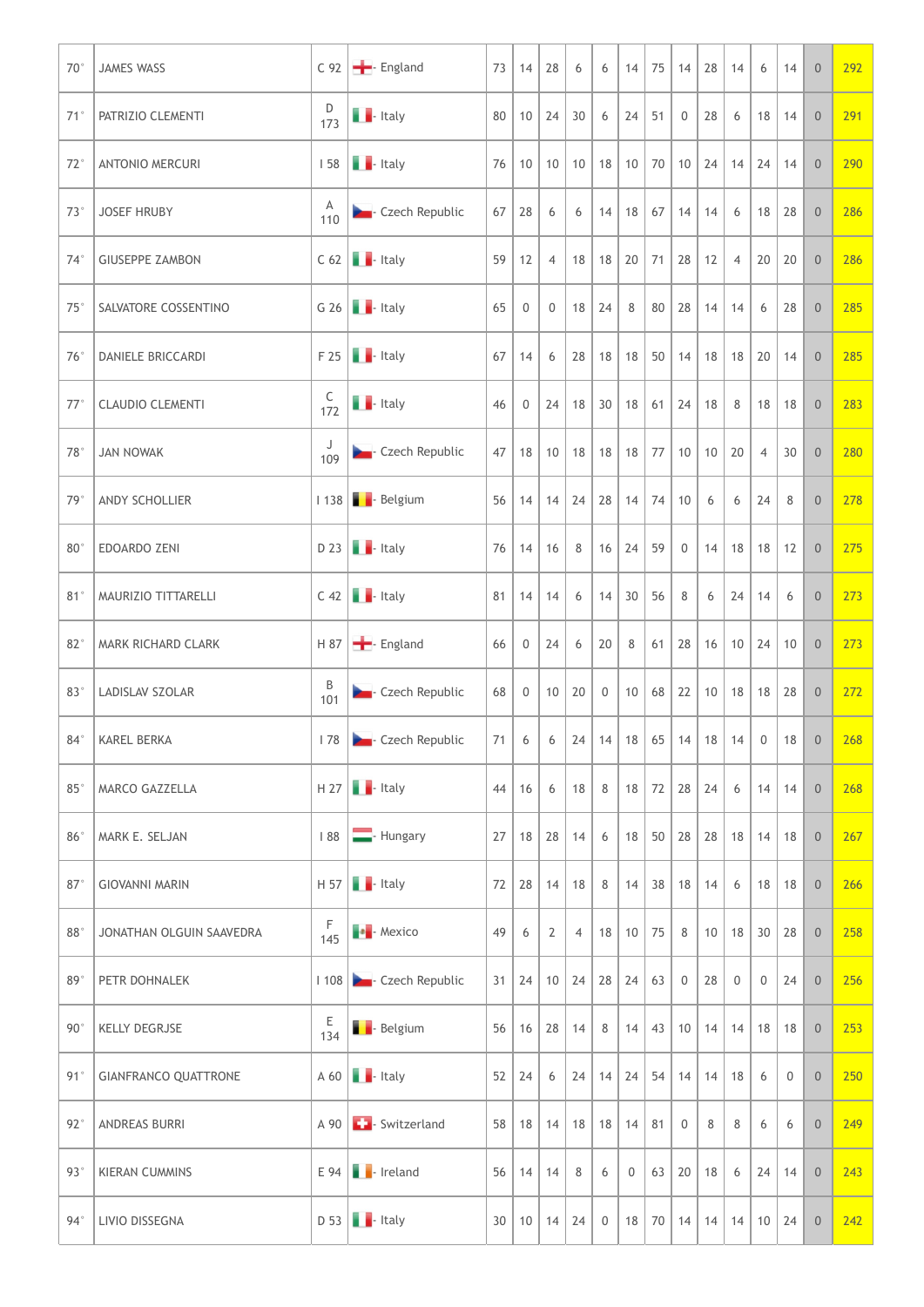| $70^{\circ}$    | JAMES WASS               |                 | C 92 - England                                                                                                                                                                                                                                                                                                                                                                                                                                                                        | 73 |             | 14 28                | 6                          | 6              | $14$ 75 14 28                                                  |                   |    | 14             | $6-1$                         | 14               | $\overline{0}$                     | 292 |
|-----------------|--------------------------|-----------------|---------------------------------------------------------------------------------------------------------------------------------------------------------------------------------------------------------------------------------------------------------------------------------------------------------------------------------------------------------------------------------------------------------------------------------------------------------------------------------------|----|-------------|----------------------|----------------------------|----------------|----------------------------------------------------------------|-------------------|----|----------------|-------------------------------|------------------|------------------------------------|-----|
| $71^\circ$      | <b>PATRIZIO CLEMENTI</b> | D<br>173        | $\blacksquare$ - Italy                                                                                                                                                                                                                                                                                                                                                                                                                                                                | 80 |             | $10 \mid 24 \mid 30$ |                            | 6              | $24$ 51 0                                                      |                   | 28 | 6              |                               | $18$ 14          | 0                                  | 291 |
| $72^{\circ}$    | <b>ANTONIO MERCURI</b>   |                 | $158$ $\blacksquare$ - Italy                                                                                                                                                                                                                                                                                                                                                                                                                                                          | 76 | 10          |                      |                            |                | $10$   $10$   $18$   $10$   $70$   $10$   $24$   $14$          |                   |    |                |                               | $24 \mid 14$     | $\overline{0}$                     | 290 |
| $73^\circ$      | <b>JOSEF HRUBY</b>       | A<br>110        | <b>Czech Republic</b>                                                                                                                                                                                                                                                                                                                                                                                                                                                                 | 67 | 28          | 6                    | 6                          | 14             | 18   67   14                                                   |                   | 14 | 6              |                               | 18 28            | $\overline{0}$                     | 286 |
| $74^\circ$      | <b>GIUSEPPE ZAMBON</b>   |                 | $C$ 62 $\blacksquare$ - Italy                                                                                                                                                                                                                                                                                                                                                                                                                                                         | 59 | 12          | $\overline{4}$       |                            |                | $18$   $18$   20   71   28                                     |                   | 12 | $\overline{4}$ |                               | $20 \mid 20$     | $\overline{0}$                     | 286 |
| $75^{\circ}$    | SALVATORE COSSENTINO     |                 | G 26 $\blacksquare$ - Italy                                                                                                                                                                                                                                                                                                                                                                                                                                                           | 65 | $\mathbf 0$ | $\overline{0}$       | 18 24                      |                | 8                                                              | $80 \mid 28 \mid$ |    | 14 14          | 6                             | 28               | $\overline{0}$                     | 285 |
|                 | 76°   DANIELE BRICCARDI  |                 | $F 25$ $\blacksquare$ - Italy                                                                                                                                                                                                                                                                                                                                                                                                                                                         |    |             |                      |                            |                | $67$   14   6   28   18   18   50   14   18   18   20   14   0 |                   |    |                |                               |                  |                                    | 285 |
| $77^\circ$      | CLAUDIO CLEMENTI         | $rac{C}{172}$   | <b>T</b> - Italy                                                                                                                                                                                                                                                                                                                                                                                                                                                                      | 46 |             |                      |                            |                | $0$ 24 18 30 18 61 24 18 8                                     |                   |    |                |                               | 18 18            | $\begin{array}{c} 0 \end{array}$   | 283 |
| 78°             | JAN NOWAK                | J<br>109        | <b>Czech Republic</b>                                                                                                                                                                                                                                                                                                                                                                                                                                                                 |    |             |                      |                            |                | 47   18   10   18   18   18   77   10   10   20                |                   |    |                |                               | $4 \mid 30 \mid$ | $\overline{0}$                     | 280 |
| 79°             | ANDY SCHOLLIER           |                 | I 138 - Belgium                                                                                                                                                                                                                                                                                                                                                                                                                                                                       |    |             |                      |                            |                | $56$   14   14   24   28   14   74   10                        |                   | 6  | 6              |                               | $24 \quad 8$     | $\overline{0}$                     | 278 |
| $80^\circ$      | <b>EDOARDO ZENI</b>      |                 | $D$ 23 $\blacksquare$ Italy                                                                                                                                                                                                                                                                                                                                                                                                                                                           | 76 |             | $14$ 16              | 8 <sup>1</sup>             |                | $16$   24   59                                                 | 0                 |    |                | $14$   18   18   12           |                  | $\begin{array}{c} 0 \end{array}$   | 275 |
| 81°             | MAURIZIO TITTARELLI      |                 | $C$ 42 $\blacksquare$ Italy                                                                                                                                                                                                                                                                                                                                                                                                                                                           |    |             | $81$   14   14       | 6                          |                | $14 \mid 30 \mid 56 \mid$                                      | 8                 |    | 6   24         | $14 \mid 6$                   |                  | $\overline{0}$                     | 273 |
| 82 <sup>°</sup> | MARK RICHARD CLARK       |                 | H 87 - England                                                                                                                                                                                                                                                                                                                                                                                                                                                                        | 66 |             | $0 \mid 24 \mid$     | 6                          | 20             | 8                                                              |                   |    |                | $61$   28   16   10   24   10 |                  | 0 <sup>1</sup>                     | 273 |
| 83°             | LADISLAV SZOLAR          | B<br>101        | <b>Czech Republic</b>                                                                                                                                                                                                                                                                                                                                                                                                                                                                 | 68 |             |                      | $0 \mid 10 \mid 20 \mid 0$ |                | 10   68   22                                                   |                   |    |                | 10   18   18   28             |                  | $\begin{array}{c} 0 \end{array}$   | 272 |
| $84^\circ$      | KAREL BERKA              |                 | 178 <b>D</b> Czech Republic                                                                                                                                                                                                                                                                                                                                                                                                                                                           |    |             |                      |                            |                | 71 6 6 24 14 18 65 14 18 14 0 18                               |                   |    |                |                               |                  | $\begin{array}{c} 0 \end{array}$   | 268 |
| $85^{\circ}$    | MARCO GAZZELLA           |                 | $H 27$ . Italy                                                                                                                                                                                                                                                                                                                                                                                                                                                                        | 44 | 16          | 6                    | $18 \mid 8$                |                | $18$ 72 28 24                                                  |                   |    | 6              |                               | $14$ 14          | $\overline{0}$                     | 268 |
| 86°             | MARK E. SELJAN           |                 | 188 - Hungary                                                                                                                                                                                                                                                                                                                                                                                                                                                                         |    |             |                      | 27   18   28   14          | 6              | $18$ 50 28 28 18 14 18                                         |                   |    |                |                               |                  | $\overline{0}$                     | 267 |
| 87              | <b>GIOVANNI MARIN</b>    |                 | $H 57$ $H$ - Italy                                                                                                                                                                                                                                                                                                                                                                                                                                                                    |    |             |                      | $72$ 28 14 18 8            |                | $14$ 38 18 14                                                  |                   |    | 6              |                               |                  | $18$ 18 0                          | 266 |
| 88°             | JONATHAN OLGUIN SAAVEDRA | $\frac{F}{145}$ | $\begin{array}{ c c } \hline \multicolumn{1}{ c }{\bullet} \multicolumn{1}{ c }{\bullet} \multicolumn{1}{ c }{\bullet} \multicolumn{1}{ c }{\bullet} \multicolumn{1}{ c }{\bullet} \multicolumn{1}{ c }{\bullet} \multicolumn{1}{ c }{\bullet} \multicolumn{1}{ c }{\bullet} \multicolumn{1}{ c }{\bullet} \multicolumn{1}{ c }{\bullet} \multicolumn{1}{ c }{\bullet} \multicolumn{1}{ c }{\bullet} \multicolumn{1}{ c }{\bullet} \multicolumn{1}{ c }{\bullet} \multicolumn{1}{ c $ | 49 | 6           | 2                    | $\overline{4}$             |                | $18$ 10 75 8                                                   |                   |    |                | 10   18   30   28             |                  | $\overline{0}$                     | 258 |
| 89°             | PETR DOHNALEK            |                 | 1 108 <b>Czech Republic</b>                                                                                                                                                                                                                                                                                                                                                                                                                                                           |    |             |                      |                            |                | $31 \mid 24 \mid 10 \mid 24 \mid 28 \mid 24 \mid 63 \mid 0$    |                   | 28 | $\overline{0}$ | $\overline{0}$                | 24               | $\overline{0}$                     | 256 |
| $90^{\circ}$    | <b>KELLY DEGRJSE</b>     | $rac{E}{134}$   | <b>B</b> - Belgium                                                                                                                                                                                                                                                                                                                                                                                                                                                                    |    |             |                      | $56$ 16 28 14              | 8 <sup>1</sup> | $14$ 43 10 14 14 18 18                                         |                   |    |                |                               |                  | $\begin{array}{c c} 0 \end{array}$ | 253 |
|                 | 91° GIANFRANCO QUATTRONE |                 | $A 60$ $H$ -Italy                                                                                                                                                                                                                                                                                                                                                                                                                                                                     |    |             |                      |                            |                | $52$   24   6   24   14   24   54   14   14   18               |                   |    |                | 6                             | $\overline{0}$   | $\mathbb O$                        | 250 |
| $92^{\circ}$    | ANDREAS BURRI            |                 | A 90 <b>C</b> Switzerland                                                                                                                                                                                                                                                                                                                                                                                                                                                             |    |             |                      |                            |                | $58$   18   14   18   18   14   81                             | $\overline{0}$    | 8  | 8              | 6                             | 6                | $\overline{0}$                     | 249 |
| $93^{\circ}$    | <b>KIERAN CUMMINS</b>    |                 | $E$ 94 $\bullet$ Ireland                                                                                                                                                                                                                                                                                                                                                                                                                                                              | 56 |             | $14$ 14              | 8                          | 6              | 0                                                              | 63   20           | 18 | 6              |                               | $24 \mid 14$     | $\vert$ 0                          | 243 |
| $94^{\circ}$    | LIVIO DISSEGNA           |                 | $D 53$ - Italy                                                                                                                                                                                                                                                                                                                                                                                                                                                                        |    |             |                      | 30   10   14   24   0      |                | $18$ 70 14 14 14                                               |                   |    |                |                               | $10 \mid 24$     |                                    | 242 |
|                 |                          |                 |                                                                                                                                                                                                                                                                                                                                                                                                                                                                                       |    |             |                      |                            |                |                                                                |                   |    |                |                               |                  |                                    |     |
|                 |                          |                 |                                                                                                                                                                                                                                                                                                                                                                                                                                                                                       |    |             |                      |                            |                |                                                                |                   |    |                |                               |                  |                                    |     |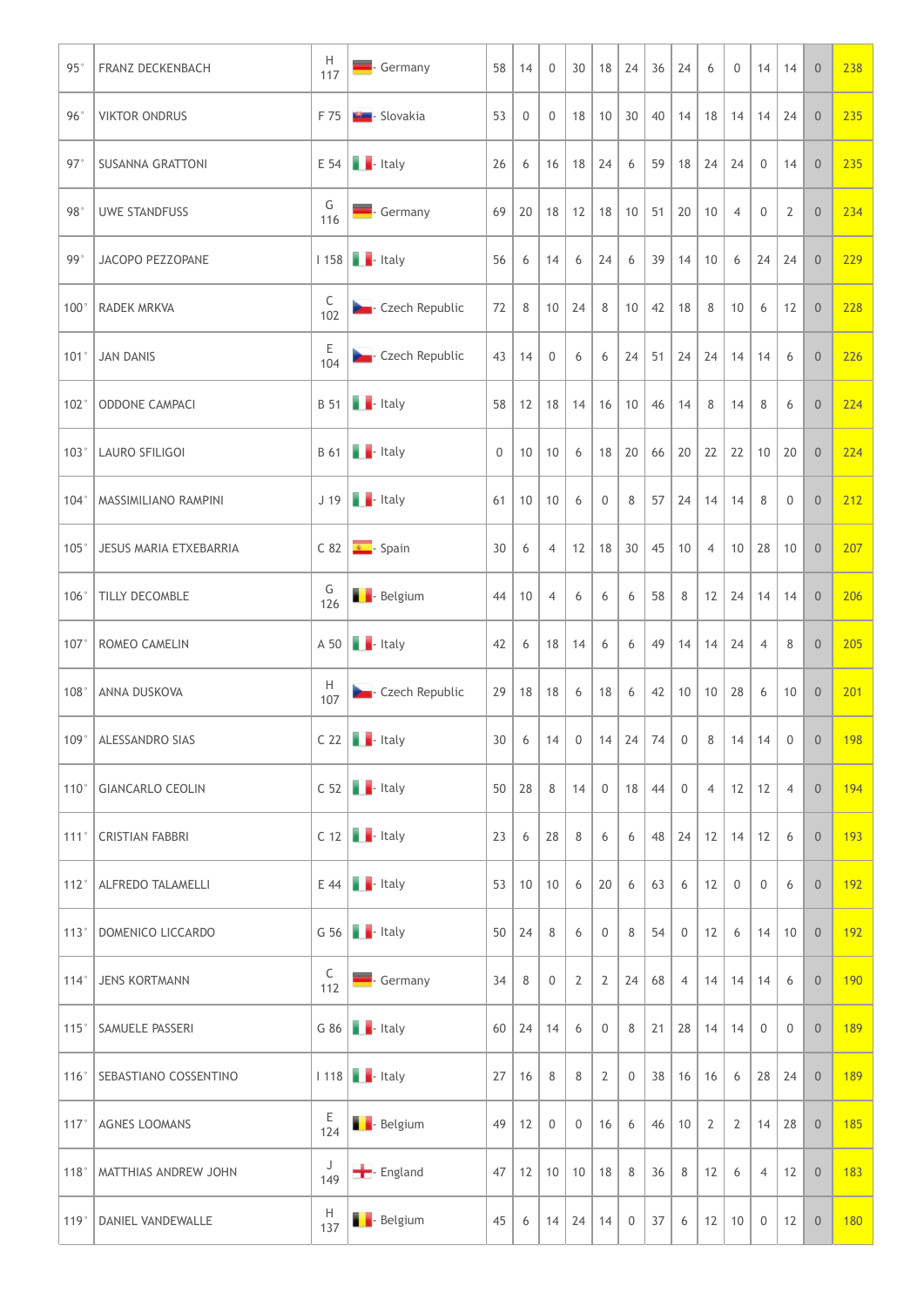| $95^\circ$ | <b>FRANZ DECKENBACH</b>       | H<br>117        | Germany                             | 58              | 14                  | $\overline{0}$                    | 30                | $18$ 24          |                                                                                         | 36                  | 24             | 6                | $\overline{0}$ | $14$ 14             |                | $\overline{0}$                                | 238                                                                  |
|------------|-------------------------------|-----------------|-------------------------------------|-----------------|---------------------|-----------------------------------|-------------------|------------------|-----------------------------------------------------------------------------------------|---------------------|----------------|------------------|----------------|---------------------|----------------|-----------------------------------------------|----------------------------------------------------------------------|
| 96°        | <b>VIKTOR ONDRUS</b>          |                 | F 75 <b>W</b> - Slovakia            | 53              | $\overline{0}$      | $\overline{0}$                    |                   |                  | 18   10   30   40   14   18   14   14   24                                              |                     |                |                  |                |                     |                | 0                                             | 235                                                                  |
| $97^\circ$ | <b>SUSANNA GRATTONI</b>       |                 | $E$ 54 $\blacksquare$ - Italy       | 26              | 6                   | 16                                | 18 24             |                  | 6                                                                                       | $59$   18   24   24 |                |                  |                | $\overline{0}$      | 14             | $\overline{0}$                                | 235                                                                  |
| 98°        | UWE STANDFUSS                 | G<br>116        | Germany                             | 69              |                     | 20   18                           | $12$ 18           |                  | $10 \mid 51 \mid 20 \mid$                                                               |                     |                | 10               | $\overline{4}$ | $\overline{0}$      | $\overline{2}$ | $\overline{0}$                                | 234                                                                  |
| 99°        | JACOPO PEZZOPANE              |                 | $1158$ $\blacksquare$ - Italy       | 56              | 6                   | 14                                | 6                 | 24               | 6                                                                                       | 39                  | 14             | 10               | 6              | $24$ 24             |                | $\overline{0}$                                | 229                                                                  |
|            | 100° RADEK MRKVA              | C<br>102        | <b>Czech Republic</b>               | 72              | 8                   |                                   | $10 \mid 24 \mid$ | 8                | 10                                                                                      | $42 \mid 18 \mid$   |                | $-8-1$           | 10             | 6                   | 12             | $\overline{0}$                                | 228                                                                  |
|            | $101°$ JAN DANIS              | E<br>104        | <b>Designal</b> Czech Republic      |                 |                     | $43 \mid 14 \mid 0 \mid 6$        |                   |                  | $6 \mid 24 \mid 51 \mid 24 \mid 24 \mid 14 \mid 14 \mid 6$                              |                     |                |                  |                |                     |                | $\overline{0}$                                | 226                                                                  |
|            | 102° ODDONE CAMPACI           |                 | $B 51$ $\blacksquare$ - Italy       |                 |                     |                                   |                   |                  | $58$   12   18   14   16   10   46   14   8   14   8                                    |                     |                |                  |                |                     | 6              | $\begin{array}{c} \circ \\ \circ \end{array}$ | 224                                                                  |
|            | 103°   LAURO SFILIGOI         |                 | $B 61$ $\blacksquare$ Italy         |                 |                     |                                   |                   |                  | $0$   10   10   6   18   20   66   20   22   22   10   20   0                           |                     |                |                  |                |                     |                |                                               | 224                                                                  |
|            | 104°   MASSIMILIANO RAMPINI   |                 | $J$ 19 $\blacksquare$ - Italy       |                 |                     | $61$   10   10                    | 6                 | $\overline{0}$   | $8$   57   24   14   14                                                                 |                     |                |                  |                | 8                   | $\overline{0}$ | $\overline{0}$                                | 212                                                                  |
|            | 105°   JESUS MARIA ETXEBARRIA |                 | $C 82$ $\overline{\bullet}$ - Spain | 30 <sup>1</sup> | 6                   | $\overline{4}$                    |                   |                  | $12$   18   30   45   10   4   10   28   10                                             |                     |                |                  |                |                     |                | $\begin{array}{c c} 0 \end{array}$            | 207                                                                  |
|            | 106°   TILLY DECOMBLE         | G<br>126        | <b>B</b> - Belgium                  | 44              | $10 \mid 4$         |                                   | 6                 | 6                | 6                                                                                       | 58                  | 8 <sup>1</sup> |                  |                | $12$   24   14   14 |                | $\overline{0}$                                | 206                                                                  |
|            | 107°   ROMEO CAMELIN          |                 | $A 50$ $\blacksquare$ - Italy       | 42              |                     | 6   18   14                       |                   | 6                | 6                                                                                       | 49 14 14 24         |                |                  |                | $\overline{4}$      | 8              | 0                                             | 205                                                                  |
|            | 108°   ANNA DUSKOVA           | H<br>107        | Czech Republic                      |                 |                     | $29$ 18 18 6                      |                   | $18$ 6           |                                                                                         | $42$   10   10   28 |                |                  |                | 6                   | 10             | $\begin{array}{c} 0 \end{array}$              | 201                                                                  |
|            | 109°   ALESSANDRO SIAS        |                 | $C 22$ $\blacksquare$ - Italy       |                 |                     |                                   |                   |                  | $30 \mid 6 \mid 14 \mid 0 \mid 14 \mid 24 \mid 74 \mid 0 \mid 8 \mid 14 \mid 14 \mid 0$ |                     |                |                  |                |                     |                | $\begin{array}{c c} 0 \end{array}$            | 198                                                                  |
|            | 110° GIANCARLO CEOLIN         |                 | $C$ 52 $\blacksquare$ Italy         |                 | $50 \mid 28 \mid 8$ |                                   | $14$ 0            |                  | $18 \mid 44 \mid 0$                                                                     |                     |                |                  |                | 4   12   12   4     |                | 0                                             | 194                                                                  |
|            | 111°   CRISTIAN FABBRI        |                 | $C$ 12 $\blacksquare$ Italy         | 23              |                     | $6 \mid 28 \mid$                  | 8                 | 6                | 6                                                                                       |                     |                |                  |                | 48 24 12 14 12 6    |                | $\overline{0}$                                | 193                                                                  |
|            | 112°   ALFREDO TALAMELLI      |                 | $E$ 44 $\blacksquare$ Italy         |                 |                     | 53   10   10   6                  |                   | 20               | 6                                                                                       | $63 \mid 6$         |                | 12               | $\overline{0}$ | $\overline{0}$      | 6              | $\begin{array}{c} \circ \\ \circ \end{array}$ | 192                                                                  |
|            | 113° DOMENICO LICCARDO        |                 | G 56 $\blacksquare$ - Italy         |                 | $50 \mid 24 \mid 8$ |                                   | 6                 | $\mathbf 0$      | 8                                                                                       | 54                  | 0              | $12 \mid 6 \mid$ |                | $14$ 10             |                | $\begin{array}{c} 0 \end{array}$              | 192                                                                  |
|            | 114°   JENS KORTMANN          | C<br>112        | Germany                             | 34              | 8 0                 |                                   | 2                 | 2                | $24 \mid 68 \mid 4 \mid$                                                                |                     |                |                  |                | $14$ 14 14 6        |                | $\begin{array}{c} \circ \\ \circ \end{array}$ | 190                                                                  |
|            | 115° SAMUELE PASSERI          |                 | G $86$ $\blacksquare$ Italy         |                 |                     | $60$   24   14                    | 6                 | $\overline{0}$   | $8$ 21 28 14 14                                                                         |                     |                |                  |                | $\overline{0}$      | $\overline{0}$ |                                               | $\begin{array}{ c c c c c }\n\hline\n0 & 189 \\ \hline\n\end{array}$ |
|            | 116° SEBASTIANO COSSENTINO    |                 | 1 118   - Italy                     |                 | 27 16               | 8                                 | 8 <sup>1</sup>    | 2                | $\overline{0}$                                                                          | 38   16   16        |                |                  | 6              | $28$ 24             |                |                                               | 189                                                                  |
|            | 117°   AGNES LOOMANS          | E<br>124        | <b>B</b> - Belgium                  | 49              | $12 \mid 0$         |                                   | $\overline{0}$    | 16               | 6                                                                                       | $46$   10           |                | $\overline{2}$   | $\overline{2}$ | $14$ 28             |                | $\overline{0}$                                | 185                                                                  |
|            | 118°   MATTHIAS ANDREW JOHN   | J<br>149        | - England                           | 47              |                     | $12 \mid 10 \mid 10 \mid 18 \mid$ |                   |                  | 8                                                                                       | 36                  | 8              | 12               | 6              | 4                   | 12             | $\overline{0}$                                | 183                                                                  |
|            | 119°   DANIEL VANDEWALLE      | $\frac{H}{137}$ | <b>B</b> - Belgium                  | 45              |                     |                                   |                   | 6   14   24   14 | $0$ 37                                                                                  |                     | 6 <sup>1</sup> |                  |                |                     |                | $12$ 10 0 12 0                                | 180                                                                  |
|            |                               |                 |                                     |                 |                     |                                   |                   |                  |                                                                                         |                     |                |                  |                |                     |                |                                               |                                                                      |
|            |                               |                 |                                     |                 |                     |                                   |                   |                  |                                                                                         |                     |                |                  |                |                     |                |                                               |                                                                      |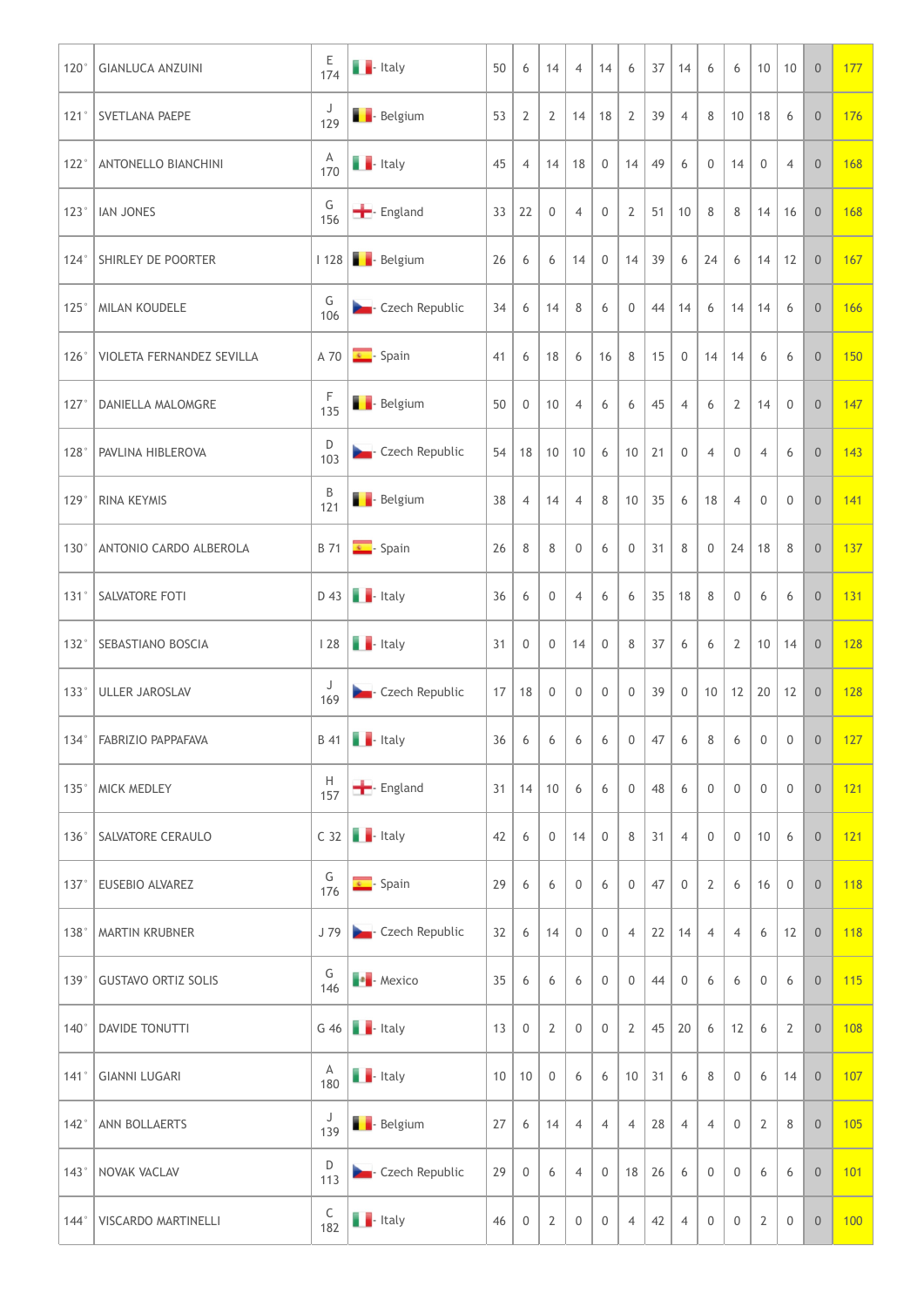| 120° GIANLUCA ANZUINI            | $rac{E}{174}$                           | $\blacksquare$ - Italy                                                                               | 50 | 6              | 14                 | $\overline{4}$           | 14               | 6                   | 37           | 14             | 6                                | 6              | $10 \mid 10$    |                     | $\overline{0}$ | 177 |
|----------------------------------|-----------------------------------------|------------------------------------------------------------------------------------------------------|----|----------------|--------------------|--------------------------|------------------|---------------------|--------------|----------------|----------------------------------|----------------|-----------------|---------------------|----------------|-----|
| 121°   SVETLANA PAEPE            | J<br>129                                | <b>B</b> - Belgium                                                                                   | 53 | 2              |                    | $2 \mid 14 \mid 18 \mid$ |                  | $\overline{2}$      | 39           | $\overline{4}$ | 8 <sup>1</sup>                   | 10             | 18 6            |                     | 0 <sup>1</sup> | 176 |
| 122°   ANTONELLO BIANCHINI       | $\frac{A}{170}$                         | $\blacksquare$ - Italy                                                                               | 45 | 4              |                    | 14 18                    | $\mathbf 0$      | 14                  | 49           | 6              | $\overline{0}$                   | 14             | $\overline{0}$  | $\overline{4}$      | $\overline{0}$ | 168 |
| 123°   IAN JONES                 | G<br>156                                | <b>-</b> England                                                                                     | 33 | 22             | $\overline{0}$     | $\overline{4}$           | 0                | 2                   | 51           | 10             | 8                                | 8              | $14$ 16         |                     | $\overline{0}$ | 168 |
| 124° SHIRLEY DE POORTER          |                                         | I 128 - Belgium                                                                                      | 26 | 6              | 6                  | 14                       | $\mathbf 0$      | 14                  | 39           | 6              | 24                               | 6              | $14$ 12         |                     | $\overline{0}$ | 167 |
| 125°   MILAN KOUDELE             | G<br>106                                | <b>Czech Republic</b>                                                                                | 34 | 6              | 14                 | 8                        | 6                | $\mathbf 0$         | 44           | 14             | 6                                | 14             | $14 \quad 6$    |                     | $\overline{0}$ | 166 |
| 126°   VIOLETA FERNANDEZ SEVILLA |                                         | $\begin{array}{ c c c c c }\n\hline\n\text{A} & \text{70} & \text{s} \\ \hline\n\end{array}$ - Spain | 41 |                |                    |                          |                  | $6$ 18 6 16 8 15 0  |              |                | $14$ 14 6                        |                |                 | 6                   | $\overline{0}$ | 150 |
| 127° DANIELLA MALOMGRE           | F<br>135                                | <b>B</b> - Belgium                                                                                   | 50 |                | $0 \mid 10 \mid 4$ |                          | 6                | 6                   | 45           | $\overline{4}$ | 6                                | $\overline{2}$ | $14 \quad 0$    |                     | 0              | 147 |
| 128°   PAVLINA HIBLEROVA         | D<br>103                                | <b>Czech Republic</b>                                                                                |    |                |                    | $54$   18   10   10   6  |                  | $10 \mid 21 \mid 0$ |              |                | $\overline{4}$                   | $\overline{0}$ | $\overline{4}$  | 6                   | $\overline{0}$ | 143 |
| 129° RINA KEYMIS                 | B<br>$121$                              | <b>B</b> - Belgium                                                                                   | 38 | $\overline{4}$ | 14                 | $\overline{4}$           | 8                | 10                  | 35           | 6              | 18                               | $\overline{4}$ | $\mathbf 0$     | $\mathbf 0$         | $\overline{0}$ | 141 |
| 130°   ANTONIO CARDO ALBEROLA    |                                         | $\overline{B}$ 71 $\overline{\bullet}$ - Spain                                                       | 26 | 8              | 8                  | $\mathbf 0$              | 6                | $\overline{0}$      | 31           | 8              | $\begin{array}{c} 0 \end{array}$ | 24             | 18 8            |                     | $\overline{0}$ | 137 |
| 131° SALVATORE FOTI              |                                         | $D$ 43 $\blacksquare$ - Italy                                                                        | 36 | 6              | $\overline{0}$     | $\overline{4}$           | 6                | 6                   | 35           | 18             | 8                                | $\overline{0}$ | 6               | 6                   | $\overline{0}$ | 131 |
| 132° SEBASTIANO BOSCIA           |                                         | 128 <b>. Italy</b>                                                                                   | 31 | $\mathbf 0$    | $\overline{0}$     | 14                       | $\mathbf 0$      | 8                   | 37           | 6              | 6                                | $\overline{2}$ | $10 \mid 14$    |                     | 0              | 128 |
| 133° ULLER JAROSLAV              | 169                                     | <b>Czech Republic</b>                                                                                | 17 | 18             | $\overline{0}$     | $\mathbf 0$              | 0                | $\overline{0}$      | 39           | $\overline{0}$ |                                  |                | $10$ 12 20 12   |                     | $\overline{0}$ | 128 |
| 134°   FABRIZIO PAPPAFAVA        |                                         | $B$ 41 $\blacksquare$ - Italy                                                                        | 36 | 6              | 6                  | 6                        | 6                | $\overline{0}$      | 47           | 6              | 8                                | 6              | $\overline{0}$  | $\overline{0}$      | 0              | 127 |
| 135° MICK MEDLEY                 | H<br>157                                | - England                                                                                            | 31 |                | $14$ 10            | 6                        | 6                | $\mathsf{O}\xspace$ | 48           | 6              | $\overline{0}$                   | $\overline{0}$ | $\overline{0}$  | $\overline{0}$      | $\overline{0}$ | 121 |
| 136° SALVATORE CERAULO           |                                         | $C$ 32 $\blacksquare$ - Italy                                                                        | 42 | 6              | $\mathbb O$        | 14                       | $\mathbf 0$      | 8                   | 31           | $\overline{4}$ | $\overline{0}$                   | $\overline{0}$ | 10              | 6                   | $\overline{0}$ | 121 |
| 137° EUSEBIO ALVAREZ             | $rac{G}{176}$                           | $\overline{\bullet}$ - Spain                                                                         | 29 | 6              | 6                  | $\mathbf 0$              | 6                | $\mathbf 0$         | 47           | $\overline{0}$ | $\overline{2}$                   | 6              | 16              | $\overline{0}$      | 0              | 118 |
| 138°   MARTIN KRUBNER            |                                         | J 79 <b>D</b> Czech Republic                                                                         | 32 | 6              | 14                 | $\overline{0}$           | 0                | $\overline{4}$      | 22           | 14             | $\overline{4}$                   | $\overline{4}$ | $6-1$           | 12                  | $\overline{0}$ | 118 |
| 139° GUSTAVO ORTIZ SOLIS         | G<br>146                                | $\bullet$ - Mexico                                                                                   | 35 | 6              | 6                  | 6                        | $\overline{0}$   | $\overline{0}$      | 44           | $\overline{0}$ | 6                                | 6              | $\overline{0}$  | 6                   | 0              | 115 |
| 140°   DAVIDE TONUTTI            |                                         | $G$ 46 $\blacksquare$ - Italy                                                                        | 13 | $\overline{0}$ | $\overline{2}$     | $\mathbf 0$              | $\boldsymbol{0}$ | $\overline{2}$      | $45 \mid 20$ |                | 6                                | 12             | 6               | $\overline{2}$      | $\overline{0}$ | 108 |
| 141° GIANNI LUGARI               | $\begin{array}{c} A \\ 180 \end{array}$ | $\blacksquare$ - Italy                                                                               | 10 | $10 \mid 0$    |                    | 6                        | 6                | $10 \mid 31 \mid$   |              | 6              | 8                                | $\overline{0}$ | 6               | 14                  | $\overline{0}$ | 107 |
| 142°   ANN BOLLAERTS             | J<br>139                                | <b>B</b> - Belgium                                                                                   | 27 | 6              | 14                 | $\overline{4}$           | $\overline{4}$   | $\overline{4}$      | 28           | $\overline{4}$ | $\overline{4}$                   | $\mathbf 0$    | $\overline{2}$  | $8\phantom{1}$      | $\overline{0}$ | 105 |
| 143° NOVAK VACLAV                | $\mathsf D$<br>113                      | <b>D</b> Czech Republic                                                                              | 29 | $\mathbf 0$    | 6                  | $\overline{4}$           | $\mathbf 0$      | 18                  | 26           | 6              | $\overline{0}$                   | $\mathbf 0$    | 6               | 6                   | $\overline{0}$ | 101 |
| 144°   VISCARDO MARTINELLI       | $C$<br>182                              | $\blacksquare$ - Italy                                                                               | 46 | $\overline{0}$ | $\overline{2}$     | $\boldsymbol{0}$         | $\overline{0}$   | $\overline{4}$      | 42           | $\overline{4}$ | $\overline{0}$                   | $\overline{0}$ | $2\overline{ }$ | $\mathsf{O}\xspace$ | $\overline{0}$ | 100 |
|                                  |                                         |                                                                                                      |    |                |                    |                          |                  |                     |              |                |                                  |                |                 |                     |                |     |
|                                  |                                         |                                                                                                      |    |                |                    |                          |                  |                     |              |                |                                  |                |                 |                     |                |     |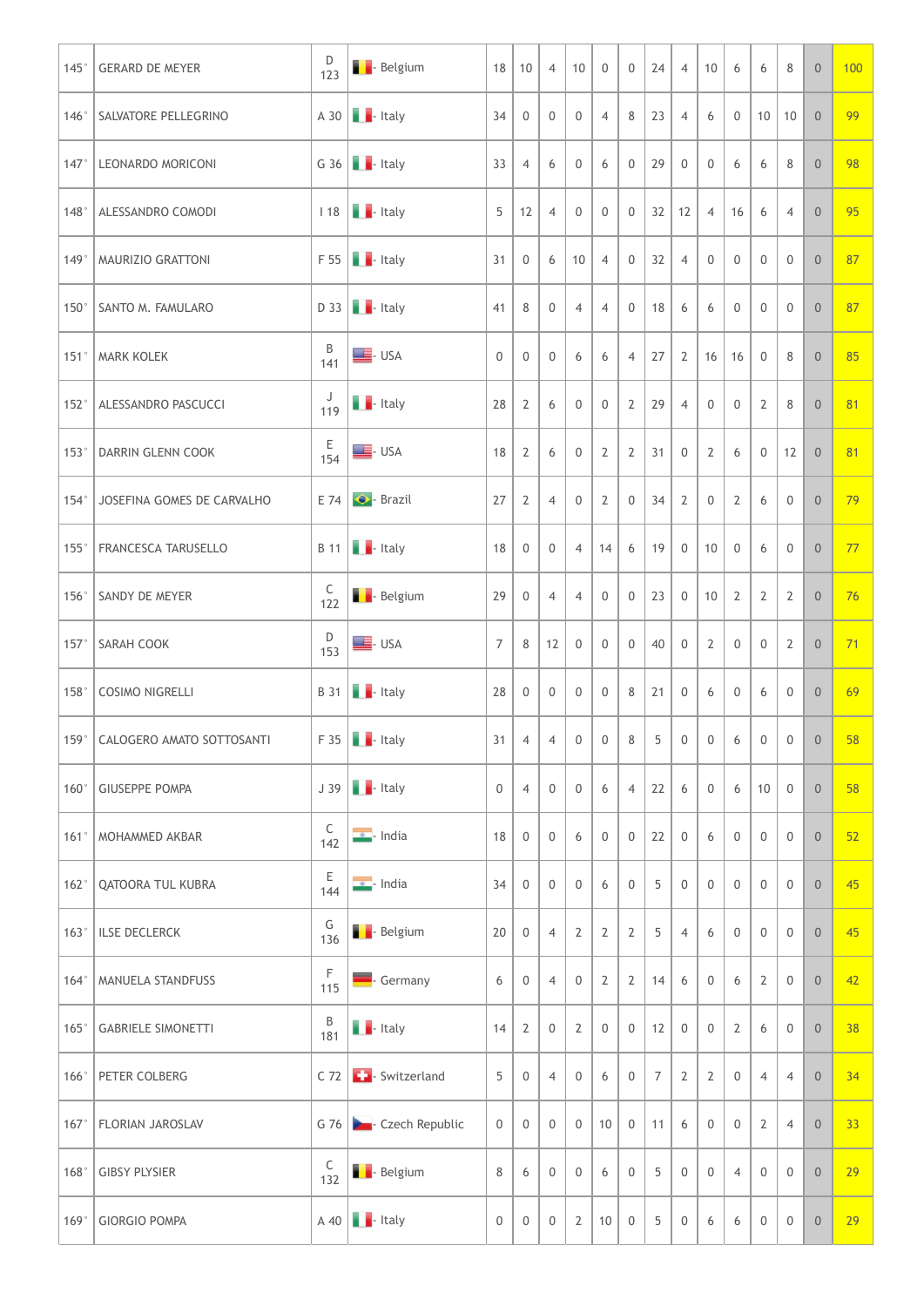|      | 145° GERARD DE MEYER              | D<br>123      | <b>Belgium</b>                                                                                           | 18             | $\vert$ 10     | $\overline{4}$ | 10             | $\mathbf 0$    | $\overline{0}$          | 24              | $\overline{4}$ | 10             | 6              | 6                   | 8              | $\theta$       | 100 |
|------|-----------------------------------|---------------|----------------------------------------------------------------------------------------------------------|----------------|----------------|----------------|----------------|----------------|-------------------------|-----------------|----------------|----------------|----------------|---------------------|----------------|----------------|-----|
|      | 146° SALVATORE PELLEGRINO         |               | $A$ 30 $\blacksquare$ Italy                                                                              | 34             | $\overline{0}$ | $\overline{0}$ | $\overline{0}$ | $\overline{4}$ | 8 <sup>1</sup>          | 23              | $\overline{4}$ | 6              | $\mathbf 0$    | $10 \mid 10$        |                | $\overline{0}$ | 99  |
| 147° | LEONARDO MORICONI                 |               | G 36 $\blacksquare$ - Italy                                                                              | 33             | $\overline{4}$ | 6              | $\mathbf 0$    | 6              | 0                       | 29              | $\overline{0}$ | $\mathbf 0$    | 6              | 6                   | 8              | $\overline{0}$ | 98  |
|      | 148°   ALESSANDRO COMODI          |               | $118$ $\blacksquare$ - Italy                                                                             | 5              | 12             | $\overline{4}$ | $\mathbf 0$    | $\mathbf 0$    | $\mathbf 0$             | 32              | 12             | $\overline{4}$ | 16             | 6                   | $\overline{4}$ | $\overline{0}$ | 95  |
|      | 149°   MAURIZIO GRATTONI          |               | $F 55$ $\blacksquare$ - Italy                                                                            | 31             | $\mathbf 0$    | 6              | 10             | $\overline{4}$ | $\mathbf 0$             | 32              | $\overline{4}$ | 0              | $\overline{0}$ | $\mathbf 0$         | $\overline{0}$ | $\overline{0}$ | 87  |
|      | 150° SANTO M. FAMULARO            |               | $D$ 33 $\blacksquare$ - Italy                                                                            | 41             | 8              | $\overline{0}$ | $\overline{4}$ | $\overline{4}$ | 0                       | 18              | 6              | 6              | $\overline{0}$ | $\overline{0}$      | $\overline{0}$ | $\overline{0}$ | 87  |
|      | 151°   MARK KOLEK                 | B<br>141      | $\equiv$ - USA                                                                                           | 0              | $\overline{0}$ | $\Omega$       | 6              |                | 6   4   27   2          |                 |                |                |                | 16 16 0             | 8              | $\overline{0}$ | 85  |
|      | 152°   ALESSANDRO PASCUCCI        | ل<br>119      | $\blacksquare$ - Italy                                                                                   | $28 \mid 2$    |                | 6              | $\overline{0}$ | $\overline{0}$ | $2 \mid 29 \mid$        |                 | $\overline{4}$ | $\overline{0}$ | $\mathbf 0$    | $\overline{2}$      | 8              | $\overline{0}$ | 81  |
|      | 153°   DARRIN GLENN COOK          | E<br>154      | $\equiv$ - USA                                                                                           | $18 \mid 2$    |                | 6              | $\overline{0}$ | 2              | $2 \mid 31 \mid 0 \mid$ |                 |                | $\overline{2}$ | 6              | $\overline{0}$      | $12 \mid 0$    |                | 81  |
|      | 154°   JOSEFINA GOMES DE CARVALHO |               | $E$ 74 $\bullet$ - Brazil                                                                                | 27             | $\overline{2}$ | $\overline{4}$ | $\mathbf 0$    | 2              | $\mathbf 0$             | 34              | $\overline{2}$ | $\mathbf 0$    | $\overline{2}$ | 6                   | $\overline{0}$ | $\overline{0}$ | 79  |
|      | 155°   FRANCESCA TARUSELLO        |               | $B$ 11 $\blacksquare$ Italy                                                                              | 18             | $\overline{0}$ | $\mathbf 0$    |                | 4   14         | 6   19                  |                 | $\overline{0}$ | 10             | $\overline{0}$ | 6                   | $\overline{0}$ | $\overline{0}$ | 77  |
|      | 156° SANDY DE MEYER               | $C$<br>122    | <b>Belgium</b>                                                                                           | 29             | $\overline{0}$ | $\overline{4}$ | $\overline{4}$ | $\overline{0}$ | $\mathbf 0$             | 23              | $\overline{0}$ | 10             | 2              | $\overline{2}$      | 2              | $\overline{0}$ | 76  |
|      | 157° SARAH COOK                   | D<br>153      | $\equiv$ - USA                                                                                           | $\overline{7}$ | 8              | 12             | $\overline{0}$ | $\overline{0}$ | $\mathbf 0$             | 40              | $\overline{0}$ | $\overline{2}$ | $\overline{0}$ | $\overline{0}$      | $\overline{2}$ | $\overline{0}$ | 71  |
|      | 158°   COSIMO NIGRELLI            |               | $\begin{array}{ c c c c }\n\hline\n\end{array}$ B 31 $\begin{array}{ c c c }\n\hline\n\end{array}$ Italy | 28             | $\overline{0}$ | $\mathbf 0$    | $\overline{0}$ | $\overline{0}$ | $8 \mid 21 \mid$        |                 | $\overline{0}$ | 6              | $\mathbf 0$    | 6                   | $\overline{0}$ | $\overline{0}$ | 69  |
|      | 159°   CALOGERO AMATO SOTTOSANTI  |               | $F 35$ $\blacksquare$ - Italy                                                                            | 31             | $\overline{4}$ | $\overline{4}$ | $\overline{0}$ | $\overline{0}$ | 8                       | 5 <sup>5</sup>  | 0 <sup>1</sup> | $\overline{0}$ | 6              | $\overline{0}$      | $\overline{0}$ | $\overline{0}$ | 58  |
|      | 160° GIUSEPPE POMPA               |               | $J$ 39 $\blacksquare$ Italy                                                                              | $\overline{0}$ | $\overline{4}$ | $\overline{0}$ | $\overline{0}$ | 6              | $\overline{4}$          | 22              | 6              | $\overline{0}$ | 6              | 10                  | $\overline{0}$ | $\overline{0}$ | 58  |
|      | 161°   MOHAMMED AKBAR             | $C$<br>142    | $\bullet$ - India                                                                                        | 18             | $\overline{0}$ | $\mathbf 0$    | 6              | $\overline{0}$ | $\mathbf 0$             | 22              | $\overline{0}$ | 6              | $\overline{0}$ | $\overline{0}$      | $\mathbf 0$    | $\overline{0}$ | 52  |
|      | 162°   QATOORA TUL KUBRA          | $rac{E}{144}$ | $\bullet$ - India                                                                                        | 34             | $\overline{0}$ | $\overline{0}$ | $\mathbf 0$    | 6              | $\mathbf 0$             | 5               | $\mathbf 0$    | $\mathbf 0$    | $\overline{0}$ | $\overline{0}$      | $\overline{0}$ | $\overline{0}$ | 45  |
|      | 163°   ILSE DECLERCK              | G<br>136      | <b>Belgium</b>                                                                                           | 20             | $\mathbf 0$    | $\overline{4}$ | 2              | $\overline{2}$ | 2                       | 5               | $\overline{4}$ | 6              | $\overline{0}$ | $\overline{0}$      | $\overline{0}$ | $\overline{0}$ | 45  |
|      | 164°   MANUELA STANDFUSS          | F<br>115      | Germany                                                                                                  | 6              | $\mathbf 0$    | $\overline{4}$ | $\overline{0}$ | $\overline{2}$ | $2 \mid 14 \mid$        |                 | 6              | $\overline{0}$ | 6              | $\overline{2}$      | $\overline{0}$ | $\theta$       | 42  |
|      | 165° GABRIELE SIMONETTI           | $rac{B}{181}$ | $\blacksquare$ - Italy                                                                                   | $14 \mid 2$    |                | $\mathbb O$    | 2              | $\overline{0}$ | $0 \mid 12 \mid 0 \mid$ |                 |                | $\overline{0}$ | $\overline{2}$ | 6                   | $\overline{0}$ | $\overline{0}$ | 38  |
|      | 166° PETER COLBERG                |               | C 72 <b>C</b> - Switzerland                                                                              | 5 <sup>5</sup> | $\mathbb O$    | $\overline{4}$ | $\overline{0}$ | 6              | $\overline{0}$          | $7\overline{ }$ | $\overline{2}$ | $\overline{2}$ | $\mathbb O$    | $\overline{4}$      | $\overline{4}$ | $\theta$       | 34  |
|      | 167° FLORIAN JAROSLAV             |               | G 76 <b>D</b> Czech Republic                                                                             | $\overline{0}$ | $\mathbb O$    | $\overline{0}$ | $\mathbf 0$    | 10             | $\mathbb O$             | 11              | 6              | $\overline{0}$ | $\mathbb O$    | $\overline{2}$      | $\overline{4}$ | $\overline{0}$ | 33  |
|      | 168° GIBSY PLYSIER                | $rac{C}{132}$ | <b>B</b> - Belgium                                                                                       | 8              | 6              | $\mathbf 0$    | $\overline{0}$ | 6              | $\boldsymbol{0}$        | 5               | $\mathbf 0$    | $\overline{0}$ | $\overline{4}$ | $\mathsf{O}\xspace$ | $\overline{0}$ | $\overline{0}$ | 29  |
|      | 169° GIORGIO POMPA                |               | $A$ 40 $\blacksquare$ Italy                                                                              | $\overline{0}$ | $\overline{0}$ | $\overline{0}$ | $\overline{2}$ | 10             | $\overline{0}$          | $5\phantom{.0}$ | $\overline{0}$ | 6              | 6              | $\boldsymbol{0}$    | $\overline{0}$ | $\overline{0}$ | 29  |
|      |                                   |               |                                                                                                          |                |                |                |                |                |                         |                 |                |                |                |                     |                |                |     |
|      |                                   |               |                                                                                                          |                |                |                |                |                |                         |                 |                |                |                |                     |                |                |     |